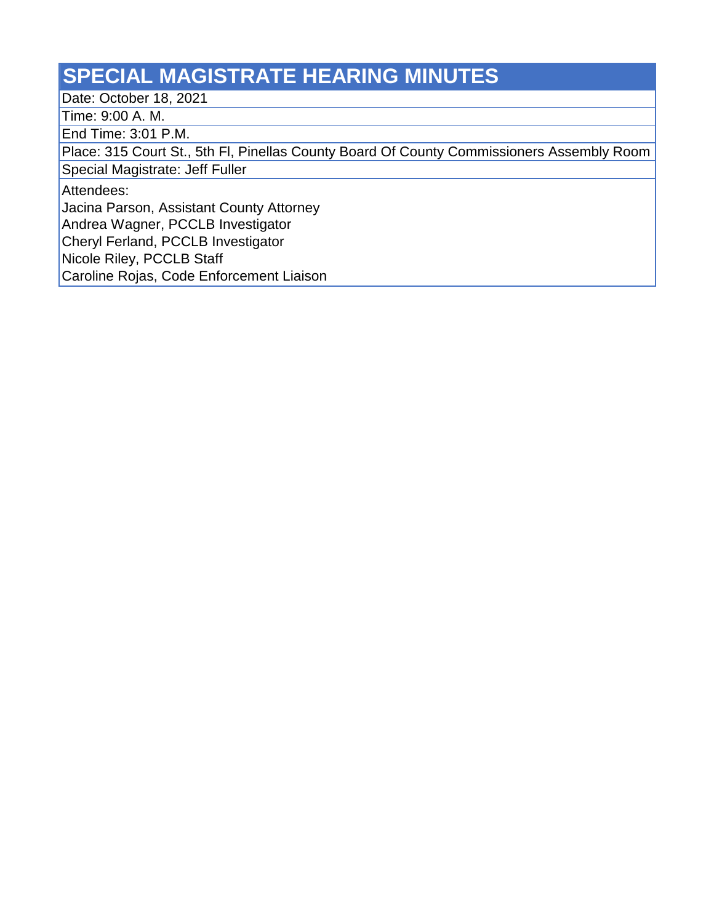## **SPECIAL MAGISTRATE HEARING MINUTES**

Date: October 18, 2021

Time: 9:00 A. M.

End Time: 3:01 P.M.

Place: 315 Court St., 5th Fl, Pinellas County Board Of County Commissioners Assembly Room

Special Magistrate: Jeff Fuller

Attendees:

Jacina Parson, Assistant County Attorney

Andrea Wagner, PCCLB Investigator

Cheryl Ferland, PCCLB Investigator

Nicole Riley, PCCLB Staff

Caroline Rojas, Code Enforcement Liaison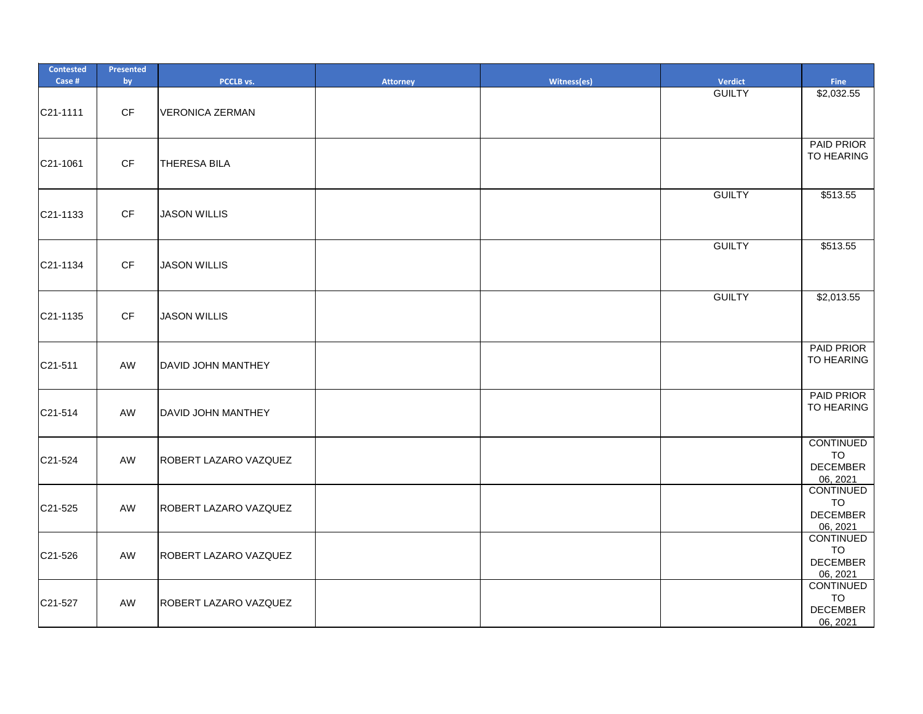| <b>Contested</b><br>Case # | Presented<br>by        | PCCLB vs.              | <b>Attorney</b> | Witness(es) | <b>Verdict</b> | <b>Fine</b>                                                  |
|----------------------------|------------------------|------------------------|-----------------|-------------|----------------|--------------------------------------------------------------|
| C21-1111                   | $\mathsf{C}\mathsf{F}$ | <b>VERONICA ZERMAN</b> |                 |             | <b>GUILTY</b>  | \$2,032.55                                                   |
| C21-1061                   | CF                     | <b>THERESA BILA</b>    |                 |             |                | PAID PRIOR<br>TO HEARING                                     |
| C21-1133                   | CF                     | <b>JASON WILLIS</b>    |                 |             | <b>GUILTY</b>  | \$513.55                                                     |
| C21-1134                   | CF                     | <b>JASON WILLIS</b>    |                 |             | <b>GUILTY</b>  | \$513.55                                                     |
| C21-1135                   | CF                     | <b>JASON WILLIS</b>    |                 |             | <b>GUILTY</b>  | \$2,013.55                                                   |
| C21-511                    | AW                     | DAVID JOHN MANTHEY     |                 |             |                | <b>PAID PRIOR</b><br>TO HEARING                              |
| C21-514                    | AW                     | DAVID JOHN MANTHEY     |                 |             |                | PAID PRIOR<br>TO HEARING                                     |
| C21-524                    | AW                     | ROBERT LAZARO VAZQUEZ  |                 |             |                | <b>CONTINUED</b><br><b>TO</b><br><b>DECEMBER</b><br>06, 2021 |
| C21-525                    | AW                     | ROBERT LAZARO VAZQUEZ  |                 |             |                | CONTINUED<br><b>TO</b><br><b>DECEMBER</b><br>06, 2021        |
| C21-526                    | AW                     | ROBERT LAZARO VAZQUEZ  |                 |             |                | <b>CONTINUED</b><br><b>TO</b><br><b>DECEMBER</b><br>06, 2021 |
| C21-527                    | AW                     | ROBERT LAZARO VAZQUEZ  |                 |             |                | CONTINUED<br><b>TO</b><br><b>DECEMBER</b><br>06, 2021        |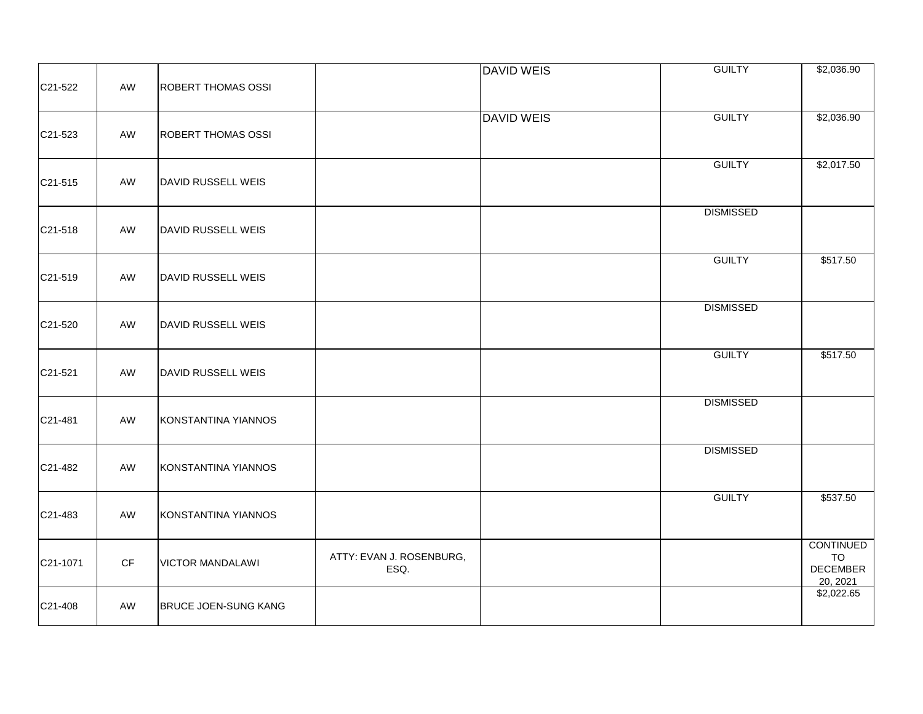|                      |                        |                             |                          | <b>DAVID WEIS</b> | <b>GUILTY</b>    | \$2,036.90                    |
|----------------------|------------------------|-----------------------------|--------------------------|-------------------|------------------|-------------------------------|
| C <sub>21</sub> -522 | AW                     | <b>ROBERT THOMAS OSSI</b>   |                          |                   |                  |                               |
|                      |                        |                             |                          | <b>DAVID WEIS</b> | <b>GUILTY</b>    | \$2,036.90                    |
| C21-523              | AW                     | <b>ROBERT THOMAS OSSI</b>   |                          |                   |                  |                               |
|                      |                        |                             |                          |                   | <b>GUILTY</b>    | \$2,017.50                    |
| C <sub>21</sub> -515 | AW                     | DAVID RUSSELL WEIS          |                          |                   |                  |                               |
|                      |                        |                             |                          |                   | <b>DISMISSED</b> |                               |
| C21-518              | AW                     | DAVID RUSSELL WEIS          |                          |                   |                  |                               |
|                      |                        |                             |                          |                   | <b>GUILTY</b>    | \$517.50                      |
| C21-519              | AW                     | DAVID RUSSELL WEIS          |                          |                   |                  |                               |
|                      |                        |                             |                          |                   | <b>DISMISSED</b> |                               |
| C21-520              | AW                     | DAVID RUSSELL WEIS          |                          |                   |                  |                               |
|                      |                        |                             |                          |                   | <b>GUILTY</b>    | \$517.50                      |
| C21-521              | AW                     | DAVID RUSSELL WEIS          |                          |                   |                  |                               |
|                      |                        |                             |                          |                   | <b>DISMISSED</b> |                               |
| C21-481              | AW                     | KONSTANTINA YIANNOS         |                          |                   |                  |                               |
|                      |                        |                             |                          |                   | <b>DISMISSED</b> |                               |
| C21-482              | AW                     | KONSTANTINA YIANNOS         |                          |                   |                  |                               |
|                      |                        |                             |                          |                   | <b>GUILTY</b>    | \$537.50                      |
| C21-483              | AW                     | KONSTANTINA YIANNOS         |                          |                   |                  |                               |
| C21-1071             | $\mathsf{C}\mathsf{F}$ | <b>VICTOR MANDALAWI</b>     | ATTY: EVAN J. ROSENBURG, |                   |                  | <b>CONTINUED</b><br><b>TO</b> |
|                      |                        |                             | ESQ.                     |                   |                  | <b>DECEMBER</b><br>20, 2021   |
|                      |                        |                             |                          |                   |                  | \$2,022.65                    |
| C21-408              | AW                     | <b>BRUCE JOEN-SUNG KANG</b> |                          |                   |                  |                               |